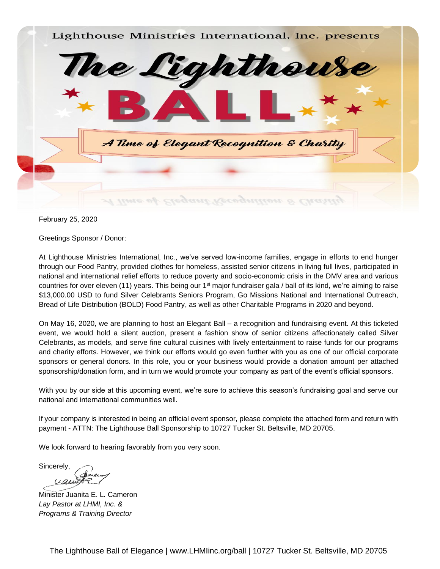

February 25, 2020

Greetings Sponsor / Donor:

At Lighthouse Ministries International, Inc., we've served low-income families, engage in efforts to end hunger through our Food Pantry, provided clothes for homeless, assisted senior citizens in living full lives, participated in national and international relief efforts to reduce poverty and socio-economic crisis in the DMV area and various countries for over eleven (11) years. This being our 1st major fundraiser gala / ball of its kind, we're aiming to raise \$13,000.00 USD to fund Silver Celebrants Seniors Program, Go Missions National and International Outreach, Bread of Life Distribution (BOLD) Food Pantry, as well as other Charitable Programs in 2020 and beyond.

On May 16, 2020, we are planning to host an Elegant Ball – a recognition and fundraising event. At this ticketed event, we would hold a silent auction, present a fashion show of senior citizens affectionately called Silver Celebrants, as models, and serve fine cultural cuisines with lively entertainment to raise funds for our programs and charity efforts. However, we think our efforts would go even further with you as one of our official corporate sponsors or general donors. In this role, you or your business would provide a donation amount per attached sponsorship/donation form, and in turn we would promote your company as part of the event's official sponsors.

With you by our side at this upcoming event, we're sure to achieve this season's fundraising goal and serve our national and international communities well.

If your company is interested in being an official event sponsor, please complete the attached form and return with payment - ATTN: The Lighthouse Ball Sponsorship to 10727 Tucker St. Beltsville, MD 20705.

We look forward to hearing favorably from you very soon.

Sincerely, uqui

Minister Juanita E. L. Cameron *Lay Pastor at LHMI, Inc. & Programs & Training Director*